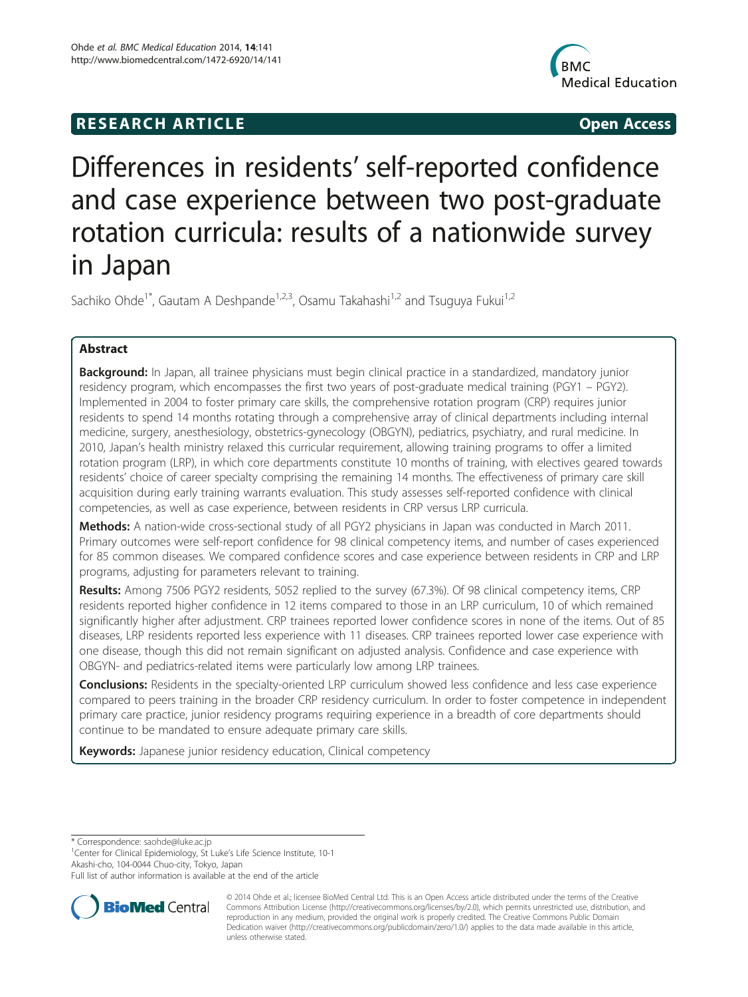## **RESEARCH ARTICLE Example 2018 12:00 Open Access**



# Differences in residents' self-reported confidence and case experience between two post-graduate rotation curricula: results of a nationwide survey in Japan

Sachiko Ohde<sup>1\*</sup>, Gautam A Deshpande<sup>1,2,3</sup>, Osamu Takahashi<sup>1,2</sup> and Tsuguya Fukui<sup>1,2</sup>

## Abstract

Background: In Japan, all trainee physicians must begin clinical practice in a standardized, mandatory junior residency program, which encompasses the first two years of post-graduate medical training (PGY1 – PGY2). Implemented in 2004 to foster primary care skills, the comprehensive rotation program (CRP) requires junior residents to spend 14 months rotating through a comprehensive array of clinical departments including internal medicine, surgery, anesthesiology, obstetrics-gynecology (OBGYN), pediatrics, psychiatry, and rural medicine. In 2010, Japan's health ministry relaxed this curricular requirement, allowing training programs to offer a limited rotation program (LRP), in which core departments constitute 10 months of training, with electives geared towards residents' choice of career specialty comprising the remaining 14 months. The effectiveness of primary care skill acquisition during early training warrants evaluation. This study assesses self-reported confidence with clinical competencies, as well as case experience, between residents in CRP versus LRP curricula.

Methods: A nation-wide cross-sectional study of all PGY2 physicians in Japan was conducted in March 2011. Primary outcomes were self-report confidence for 98 clinical competency items, and number of cases experienced for 85 common diseases. We compared confidence scores and case experience between residents in CRP and LRP programs, adjusting for parameters relevant to training.

Results: Among 7506 PGY2 residents, 5052 replied to the survey (67.3%). Of 98 clinical competency items, CRP residents reported higher confidence in 12 items compared to those in an LRP curriculum, 10 of which remained significantly higher after adjustment. CRP trainees reported lower confidence scores in none of the items. Out of 85 diseases, LRP residents reported less experience with 11 diseases. CRP trainees reported lower case experience with one disease, though this did not remain significant on adjusted analysis. Confidence and case experience with OBGYN- and pediatrics-related items were particularly low among LRP trainees.

Conclusions: Residents in the specialty-oriented LRP curriculum showed less confidence and less case experience compared to peers training in the broader CRP residency curriculum. In order to foster competence in independent primary care practice, junior residency programs requiring experience in a breadth of core departments should continue to be mandated to ensure adequate primary care skills.

Keywords: Japanese junior residency education, Clinical competency

\* Correspondence: [saohde@luke.ac.jp](mailto:saohde@luke.ac.jp) <sup>1</sup>

<sup>1</sup>Center for Clinical Epidemiology, St Luke's Life Science Institute, 10-1 Akashi-cho, 104-0044 Chuo-city, Tokyo, Japan

Full list of author information is available at the end of the article



<sup>© 2014</sup> Ohde et al.; licensee BioMed Central Ltd. This is an Open Access article distributed under the terms of the Creative Commons Attribution License [\(http://creativecommons.org/licenses/by/2.0\)](http://creativecommons.org/licenses/by/2.0), which permits unrestricted use, distribution, and reproduction in any medium, provided the original work is properly credited. The Creative Commons Public Domain Dedication waiver [\(http://creativecommons.org/publicdomain/zero/1.0/](http://creativecommons.org/publicdomain/zero/1.0/)) applies to the data made available in this article, unless otherwise stated.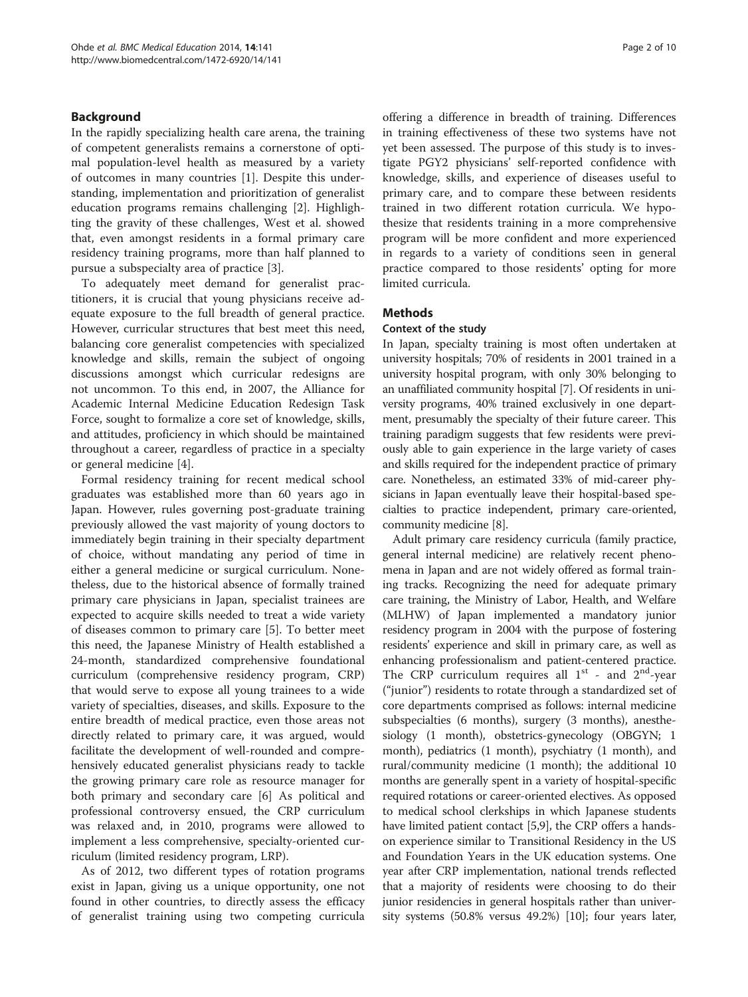## Background

In the rapidly specializing health care arena, the training of competent generalists remains a cornerstone of optimal population-level health as measured by a variety of outcomes in many countries [\[1](#page-8-0)]. Despite this understanding, implementation and prioritization of generalist education programs remains challenging [[2\]](#page-8-0). Highlighting the gravity of these challenges, West et al. showed that, even amongst residents in a formal primary care residency training programs, more than half planned to pursue a subspecialty area of practice [[3\]](#page-8-0).

To adequately meet demand for generalist practitioners, it is crucial that young physicians receive adequate exposure to the full breadth of general practice. However, curricular structures that best meet this need, balancing core generalist competencies with specialized knowledge and skills, remain the subject of ongoing discussions amongst which curricular redesigns are not uncommon. To this end, in 2007, the Alliance for Academic Internal Medicine Education Redesign Task Force, sought to formalize a core set of knowledge, skills, and attitudes, proficiency in which should be maintained throughout a career, regardless of practice in a specialty or general medicine [\[4](#page-8-0)].

Formal residency training for recent medical school graduates was established more than 60 years ago in Japan. However, rules governing post-graduate training previously allowed the vast majority of young doctors to immediately begin training in their specialty department of choice, without mandating any period of time in either a general medicine or surgical curriculum. Nonetheless, due to the historical absence of formally trained primary care physicians in Japan, specialist trainees are expected to acquire skills needed to treat a wide variety of diseases common to primary care [\[5](#page-8-0)]. To better meet this need, the Japanese Ministry of Health established a 24-month, standardized comprehensive foundational curriculum (comprehensive residency program, CRP) that would serve to expose all young trainees to a wide variety of specialties, diseases, and skills. Exposure to the entire breadth of medical practice, even those areas not directly related to primary care, it was argued, would facilitate the development of well-rounded and comprehensively educated generalist physicians ready to tackle the growing primary care role as resource manager for both primary and secondary care [[6\]](#page-8-0) As political and professional controversy ensued, the CRP curriculum was relaxed and, in 2010, programs were allowed to implement a less comprehensive, specialty-oriented curriculum (limited residency program, LRP).

As of 2012, two different types of rotation programs exist in Japan, giving us a unique opportunity, one not found in other countries, to directly assess the efficacy of generalist training using two competing curricula

offering a difference in breadth of training. Differences in training effectiveness of these two systems have not yet been assessed. The purpose of this study is to investigate PGY2 physicians' self-reported confidence with knowledge, skills, and experience of diseases useful to primary care, and to compare these between residents trained in two different rotation curricula. We hypothesize that residents training in a more comprehensive program will be more confident and more experienced in regards to a variety of conditions seen in general practice compared to those residents' opting for more limited curricula.

## **Methods**

## Context of the study

In Japan, specialty training is most often undertaken at university hospitals; 70% of residents in 2001 trained in a university hospital program, with only 30% belonging to an unaffiliated community hospital [[7](#page-8-0)]. Of residents in university programs, 40% trained exclusively in one department, presumably the specialty of their future career. This training paradigm suggests that few residents were previously able to gain experience in the large variety of cases and skills required for the independent practice of primary care. Nonetheless, an estimated 33% of mid-career physicians in Japan eventually leave their hospital-based specialties to practice independent, primary care-oriented, community medicine [[8\]](#page-8-0).

Adult primary care residency curricula (family practice, general internal medicine) are relatively recent phenomena in Japan and are not widely offered as formal training tracks. Recognizing the need for adequate primary care training, the Ministry of Labor, Health, and Welfare (MLHW) of Japan implemented a mandatory junior residency program in 2004 with the purpose of fostering residents' experience and skill in primary care, as well as enhancing professionalism and patient-centered practice. The CRP curriculum requires all  $1<sup>st</sup>$  - and  $2<sup>nd</sup>$ -year ("junior") residents to rotate through a standardized set of core departments comprised as follows: internal medicine subspecialties (6 months), surgery (3 months), anesthesiology (1 month), obstetrics-gynecology (OBGYN; 1 month), pediatrics (1 month), psychiatry (1 month), and rural/community medicine (1 month); the additional 10 months are generally spent in a variety of hospital-specific required rotations or career-oriented electives. As opposed to medical school clerkships in which Japanese students have limited patient contact [[5,9](#page-8-0)], the CRP offers a handson experience similar to Transitional Residency in the US and Foundation Years in the UK education systems. One year after CRP implementation, national trends reflected that a majority of residents were choosing to do their junior residencies in general hospitals rather than university systems (50.8% versus 49.2%) [[10](#page-8-0)]; four years later,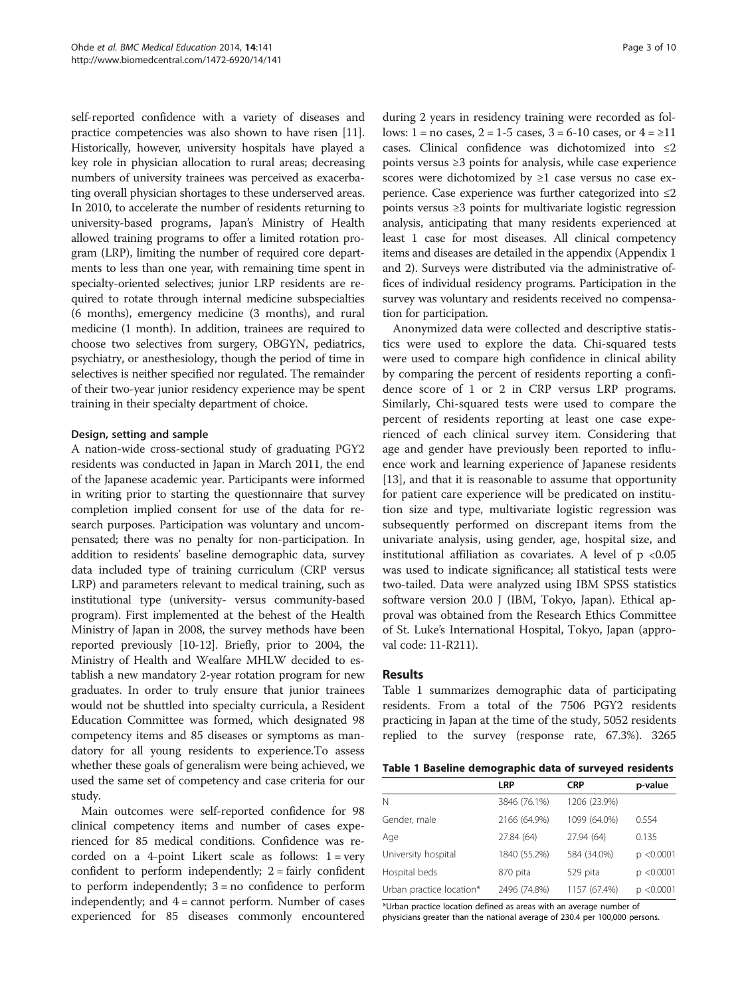self-reported confidence with a variety of diseases and practice competencies was also shown to have risen [[11](#page-8-0)]. Historically, however, university hospitals have played a key role in physician allocation to rural areas; decreasing numbers of university trainees was perceived as exacerbating overall physician shortages to these underserved areas. In 2010, to accelerate the number of residents returning to university-based programs, Japan's Ministry of Health allowed training programs to offer a limited rotation program (LRP), limiting the number of required core departments to less than one year, with remaining time spent in specialty-oriented selectives; junior LRP residents are required to rotate through internal medicine subspecialties (6 months), emergency medicine (3 months), and rural medicine (1 month). In addition, trainees are required to choose two selectives from surgery, OBGYN, pediatrics, psychiatry, or anesthesiology, though the period of time in selectives is neither specified nor regulated. The remainder of their two-year junior residency experience may be spent training in their specialty department of choice.

## Design, setting and sample

A nation-wide cross-sectional study of graduating PGY2 residents was conducted in Japan in March 2011, the end of the Japanese academic year. Participants were informed in writing prior to starting the questionnaire that survey completion implied consent for use of the data for research purposes. Participation was voluntary and uncompensated; there was no penalty for non-participation. In addition to residents' baseline demographic data, survey data included type of training curriculum (CRP versus LRP) and parameters relevant to medical training, such as institutional type (university- versus community-based program). First implemented at the behest of the Health Ministry of Japan in 2008, the survey methods have been reported previously [[10](#page-8-0)-[12](#page-8-0)]. Briefly, prior to 2004, the Ministry of Health and Wealfare MHLW decided to establish a new mandatory 2-year rotation program for new graduates. In order to truly ensure that junior trainees would not be shuttled into specialty curricula, a Resident Education Committee was formed, which designated 98 competency items and 85 diseases or symptoms as mandatory for all young residents to experience.To assess whether these goals of generalism were being achieved, we used the same set of competency and case criteria for our study.

Main outcomes were self-reported confidence for 98 clinical competency items and number of cases experienced for 85 medical conditions. Confidence was recorded on a 4-point Likert scale as follows:  $1 = very$ confident to perform independently;  $2 =$  fairly confident to perform independently;  $3 = no$  confidence to perform independently; and  $4 =$  cannot perform. Number of cases experienced for 85 diseases commonly encountered

during 2 years in residency training were recorded as follows:  $1 = no \text{ cases}, 2 = 1-5 \text{ cases}, 3 = 6-10 \text{ cases}, or 4 = 211$ cases. Clinical confidence was dichotomized into ≤2 points versus ≥3 points for analysis, while case experience scores were dichotomized by ≥1 case versus no case experience. Case experience was further categorized into  $\leq 2$ points versus ≥3 points for multivariate logistic regression analysis, anticipating that many residents experienced at least 1 case for most diseases. All clinical competency items and diseases are detailed in the appendix (Appendix [1](#page-5-0) and [2](#page-7-0)). Surveys were distributed via the administrative offices of individual residency programs. Participation in the survey was voluntary and residents received no compensation for participation.

Anonymized data were collected and descriptive statistics were used to explore the data. Chi-squared tests were used to compare high confidence in clinical ability by comparing the percent of residents reporting a confidence score of 1 or 2 in CRP versus LRP programs. Similarly, Chi-squared tests were used to compare the percent of residents reporting at least one case experienced of each clinical survey item. Considering that age and gender have previously been reported to influence work and learning experience of Japanese residents [[13\]](#page-8-0), and that it is reasonable to assume that opportunity for patient care experience will be predicated on institution size and type, multivariate logistic regression was subsequently performed on discrepant items from the univariate analysis, using gender, age, hospital size, and institutional affiliation as covariates. A level of  $p < 0.05$ was used to indicate significance; all statistical tests were two-tailed. Data were analyzed using IBM SPSS statistics software version 20.0 J (IBM, Tokyo, Japan). Ethical approval was obtained from the Research Ethics Committee of St. Luke's International Hospital, Tokyo, Japan (approval code: 11-R211).

## Results

Table 1 summarizes demographic data of participating residents. From a total of the 7506 PGY2 residents practicing in Japan at the time of the study, 5052 residents replied to the survey (response rate, 67.3%). 3265

Table 1 Baseline demographic data of surveyed residents

|                          | <b>LRP</b>   | <b>CRP</b>   | p-value    |
|--------------------------|--------------|--------------|------------|
| N                        | 3846 (76.1%) | 1206 (23.9%) |            |
| Gender, male             | 2166 (64.9%) | 1099 (64.0%) | 0.554      |
| Age                      | 27.84 (64)   | 27.94 (64)   | 0.135      |
| University hospital      | 1840 (55.2%) | 584 (34.0%)  | p < 0.0001 |
| Hospital beds            | 870 pita     | 529 pita     | p < 0.0001 |
| Urban practice location* | 2496 (74.8%) | 1157 (67.4%) | p < 0.0001 |

\*Urban practice location defined as areas with an average number of physicians greater than the national average of 230.4 per 100,000 persons.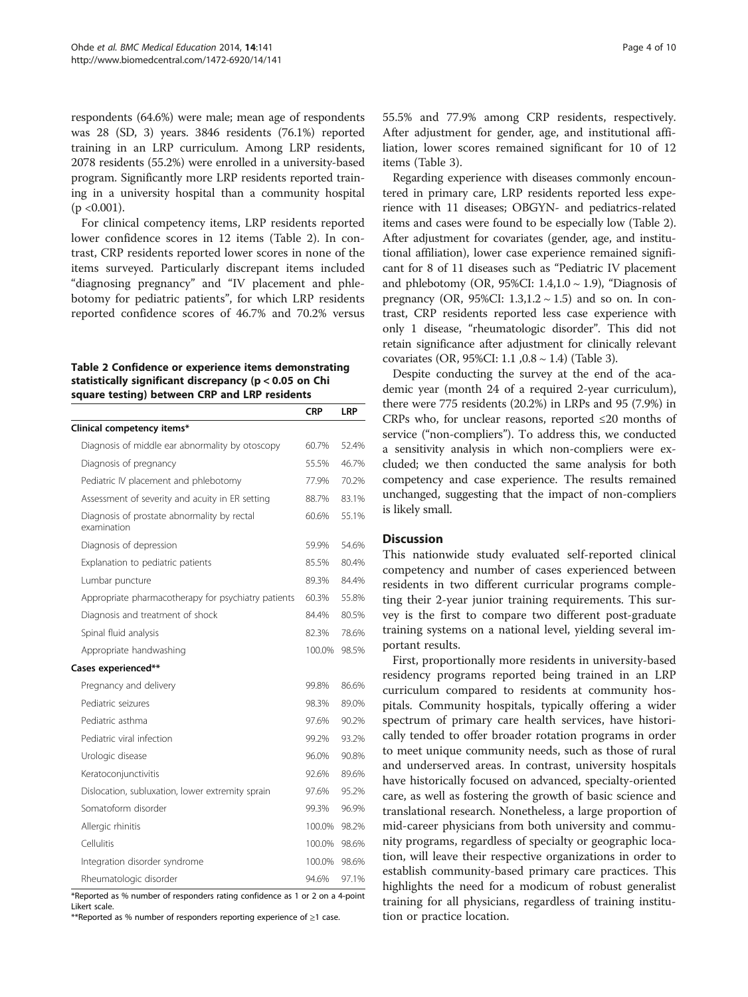respondents (64.6%) were male; mean age of respondents was 28 (SD, 3) years. 3846 residents (76.1%) reported training in an LRP curriculum. Among LRP residents, 2078 residents (55.2%) were enrolled in a university-based program. Significantly more LRP residents reported training in a university hospital than a community hospital  $(p \le 0.001)$ .

For clinical competency items, LRP residents reported lower confidence scores in 12 items (Table 2). In contrast, CRP residents reported lower scores in none of the items surveyed. Particularly discrepant items included "diagnosing pregnancy" and "IV placement and phlebotomy for pediatric patients", for which LRP residents reported confidence scores of 46.7% and 70.2% versus

## Table 2 Confidence or experience items demonstrating statistically significant discrepancy (p < 0.05 on Chi square testing) between CRP and LRP residents

|                                                            | <b>CRP</b> | <b>LRP</b> |
|------------------------------------------------------------|------------|------------|
| Clinical competency items*                                 |            |            |
| Diagnosis of middle ear abnormality by otoscopy            | 60.7%      | 52.4%      |
| Diagnosis of pregnancy                                     | 55.5%      | 46.7%      |
| Pediatric IV placement and phlebotomy                      | 77.9%      | 70.2%      |
| Assessment of severity and acuity in ER setting            | 88.7%      | 83.1%      |
| Diagnosis of prostate abnormality by rectal<br>examination | 60.6%      | 55.1%      |
| Diagnosis of depression                                    | 59.9%      | 54.6%      |
| Explanation to pediatric patients                          | 85.5%      | 80.4%      |
| Lumbar puncture                                            | 89.3%      | 84.4%      |
| Appropriate pharmacotherapy for psychiatry patients        | 60.3%      | 55.8%      |
| Diagnosis and treatment of shock                           | 84.4%      | 80.5%      |
| Spinal fluid analysis                                      | 82.3%      | 78.6%      |
| Appropriate handwashing                                    | 100.0%     | 98.5%      |
| Cases experienced**                                        |            |            |
| Pregnancy and delivery                                     | 99.8%      | 86.6%      |
| Pediatric seizures                                         | 98.3%      | 89.0%      |
| Pediatric asthma                                           | 97.6%      | 90.2%      |
| Pediatric viral infection                                  | 99.2%      | 93.2%      |
| Urologic disease                                           | 96.0%      | 90.8%      |
| Keratoconjunctivitis                                       | 92.6%      | 89.6%      |
| Dislocation, subluxation, lower extremity sprain           | 97.6%      | 95.2%      |
| Somatoform disorder                                        | 99.3%      | 96.9%      |
| Allergic rhinitis                                          | 100.0%     | 98.2%      |
| Cellulitis                                                 | 100.0%     | 98.6%      |
| Integration disorder syndrome                              | 100.0%     | 98.6%      |
| Rheumatologic disorder                                     | 94.6%      | 97.1%      |

\*Reported as % number of responders rating confidence as 1 or 2 on a 4-point Likert scale.

\*\*Reported as % number of responders reporting experience of ≥1 case.

55.5% and 77.9% among CRP residents, respectively. After adjustment for gender, age, and institutional affiliation, lower scores remained significant for 10 of 12 items (Table [3\)](#page-4-0).

Regarding experience with diseases commonly encountered in primary care, LRP residents reported less experience with 11 diseases; OBGYN- and pediatrics-related items and cases were found to be especially low (Table 2). After adjustment for covariates (gender, age, and institutional affiliation), lower case experience remained significant for 8 of 11 diseases such as "Pediatric IV placement and phlebotomy (OR, 95%CI:  $1.4,1.0 \sim 1.9$ ), "Diagnosis of pregnancy (OR, 95%CI:  $1.3,1.2 \sim 1.5$ ) and so on. In contrast, CRP residents reported less case experience with only 1 disease, "rheumatologic disorder". This did not retain significance after adjustment for clinically relevant covariates (OR, 95%CI: 1.1,  $0.8 \sim 1.4$ ) (Table [3](#page-4-0)).

Despite conducting the survey at the end of the academic year (month 24 of a required 2-year curriculum), there were 775 residents (20.2%) in LRPs and 95 (7.9%) in CRPs who, for unclear reasons, reported ≤20 months of service ("non-compliers"). To address this, we conducted a sensitivity analysis in which non-compliers were excluded; we then conducted the same analysis for both competency and case experience. The results remained unchanged, suggesting that the impact of non-compliers is likely small.

## **Discussion**

This nationwide study evaluated self-reported clinical competency and number of cases experienced between residents in two different curricular programs completing their 2-year junior training requirements. This survey is the first to compare two different post-graduate training systems on a national level, yielding several important results.

First, proportionally more residents in university-based residency programs reported being trained in an LRP curriculum compared to residents at community hospitals. Community hospitals, typically offering a wider spectrum of primary care health services, have historically tended to offer broader rotation programs in order to meet unique community needs, such as those of rural and underserved areas. In contrast, university hospitals have historically focused on advanced, specialty-oriented care, as well as fostering the growth of basic science and translational research. Nonetheless, a large proportion of mid-career physicians from both university and community programs, regardless of specialty or geographic location, will leave their respective organizations in order to establish community-based primary care practices. This highlights the need for a modicum of robust generalist training for all physicians, regardless of training institution or practice location.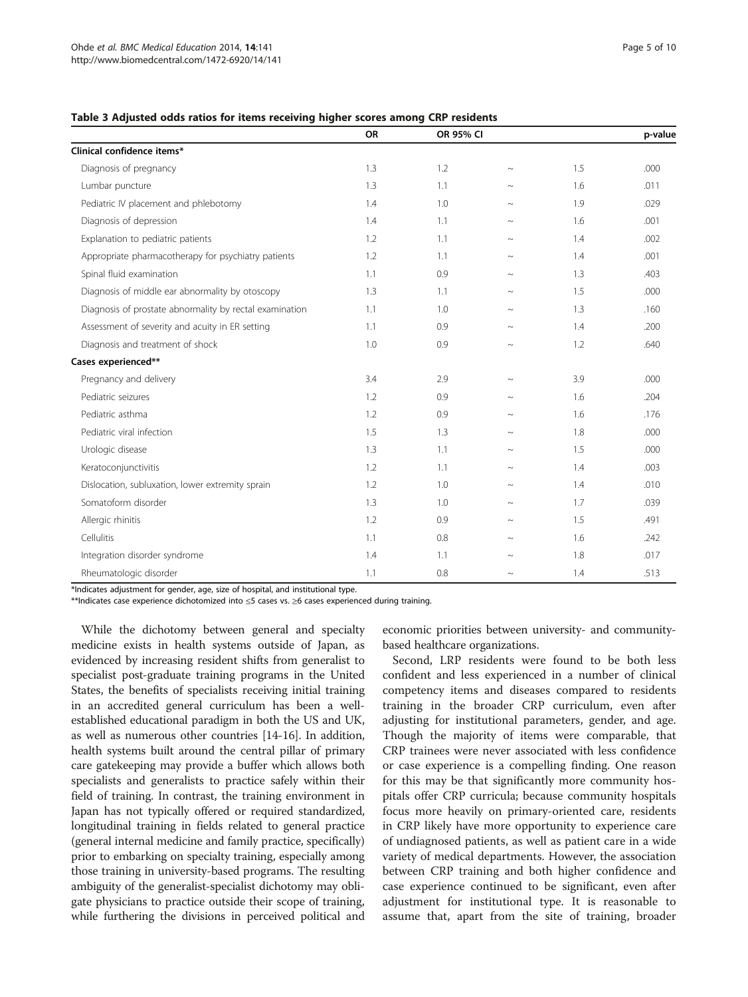|                                                         | OR  | OR 95% CI |                           |     | p-value |
|---------------------------------------------------------|-----|-----------|---------------------------|-----|---------|
| Clinical confidence items*                              |     |           |                           |     |         |
| Diagnosis of pregnancy                                  | 1.3 | 1.2       | $\sim$                    | 1.5 | .000    |
| Lumbar puncture                                         | 1.3 | 1.1       | $\sim$                    | 1.6 | .011    |
| Pediatric IV placement and phlebotomy                   | 1.4 | 1.0       | $\sim$                    | 1.9 | .029    |
| Diagnosis of depression                                 | 1.4 | 1.1       | $\sim$                    | 1.6 | .001    |
| Explanation to pediatric patients                       | 1.2 | 1.1       | $\sim$                    | 1.4 | .002    |
| Appropriate pharmacotherapy for psychiatry patients     | 1.2 | 1.1       | $\widetilde{\phantom{m}}$ | 1.4 | .001    |
| Spinal fluid examination                                | 1.1 | 0.9       | $\sim$                    | 1.3 | .403    |
| Diagnosis of middle ear abnormality by otoscopy         | 1.3 | 1.1       | $\sim$                    | 1.5 | .000    |
| Diagnosis of prostate abnormality by rectal examination | 1.1 | 1.0       | $\sim$                    | 1.3 | .160    |
| Assessment of severity and acuity in ER setting         | 1.1 | 0.9       | $\sim$                    | 1.4 | .200    |
| Diagnosis and treatment of shock                        | 1.0 | 0.9       | $\sim$                    | 1.2 | .640    |
| Cases experienced**                                     |     |           |                           |     |         |
| Pregnancy and delivery                                  | 3.4 | 2.9       | $\widetilde{\phantom{m}}$ | 3.9 | .000    |
| Pediatric seizures                                      | 1.2 | 0.9       | $\sim$                    | 1.6 | .204    |
| Pediatric asthma                                        | 1.2 | 0.9       | $\sim$                    | 1.6 | .176    |
| Pediatric viral infection                               | 1.5 | 1.3       | $\sim$                    | 1.8 | .000    |
| Urologic disease                                        | 1.3 | 1.1       | $\sim$                    | 1.5 | .000    |
| Keratoconjunctivitis                                    | 1.2 | 1.1       | $\sim$                    | 1.4 | .003    |
| Dislocation, subluxation, lower extremity sprain        | 1.2 | 1.0       | $\sim$                    | 1.4 | .010    |
| Somatoform disorder                                     | 1.3 | 1.0       | $\widetilde{\phantom{m}}$ | 1.7 | .039    |
| Allergic rhinitis                                       | 1.2 | 0.9       | $\sim$                    | 1.5 | .491    |
| Cellulitis                                              | 1.1 | 0.8       | $\sim$                    | 1.6 | .242    |
| Integration disorder syndrome                           | 1.4 | 1.1       | $\sim$                    | 1.8 | .017    |
| Rheumatologic disorder                                  | 1.1 | 0.8       | $\sim$                    | 1.4 | .513    |

### <span id="page-4-0"></span>Table 3 Adjusted odds ratios for items receiving higher scores among CRP residents

\*Indicates adjustment for gender, age, size of hospital, and institutional type.

\*\*Indicates case experience dichotomized into ≤5 cases vs. ≥6 cases experienced during training.

While the dichotomy between general and specialty medicine exists in health systems outside of Japan, as evidenced by increasing resident shifts from generalist to specialist post-graduate training programs in the United States, the benefits of specialists receiving initial training in an accredited general curriculum has been a wellestablished educational paradigm in both the US and UK, as well as numerous other countries [\[14-16\]](#page-8-0). In addition, health systems built around the central pillar of primary care gatekeeping may provide a buffer which allows both specialists and generalists to practice safely within their field of training. In contrast, the training environment in Japan has not typically offered or required standardized, longitudinal training in fields related to general practice (general internal medicine and family practice, specifically) prior to embarking on specialty training, especially among those training in university-based programs. The resulting ambiguity of the generalist-specialist dichotomy may obligate physicians to practice outside their scope of training, while furthering the divisions in perceived political and

economic priorities between university- and communitybased healthcare organizations.

Second, LRP residents were found to be both less confident and less experienced in a number of clinical competency items and diseases compared to residents training in the broader CRP curriculum, even after adjusting for institutional parameters, gender, and age. Though the majority of items were comparable, that CRP trainees were never associated with less confidence or case experience is a compelling finding. One reason for this may be that significantly more community hospitals offer CRP curricula; because community hospitals focus more heavily on primary-oriented care, residents in CRP likely have more opportunity to experience care of undiagnosed patients, as well as patient care in a wide variety of medical departments. However, the association between CRP training and both higher confidence and case experience continued to be significant, even after adjustment for institutional type. It is reasonable to assume that, apart from the site of training, broader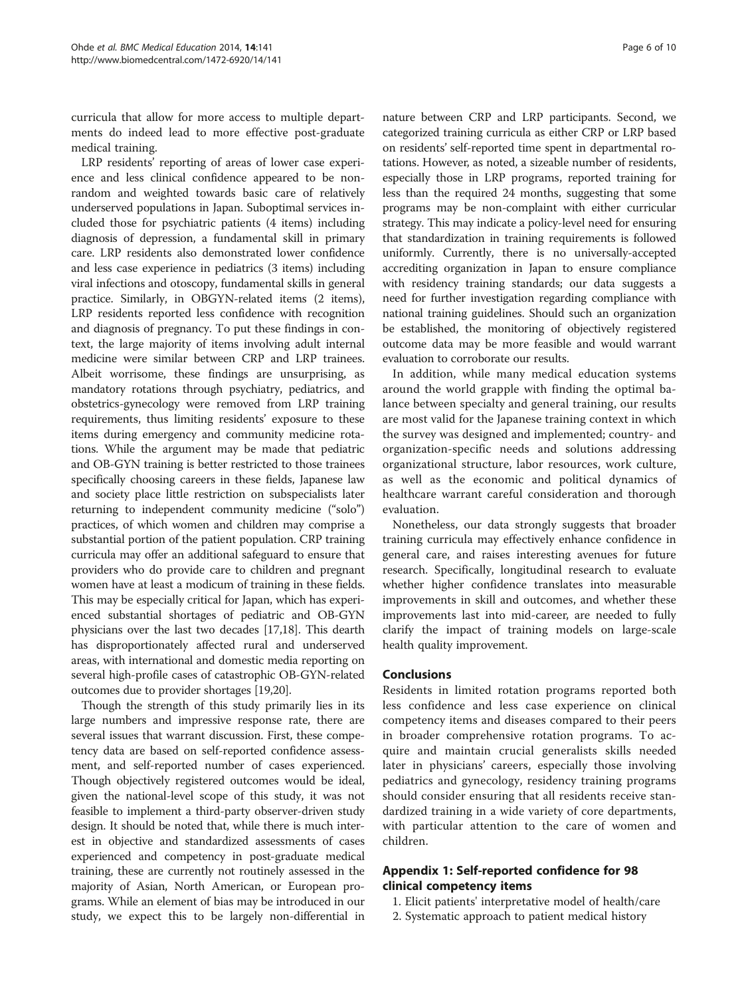<span id="page-5-0"></span>curricula that allow for more access to multiple departments do indeed lead to more effective post-graduate medical training.

LRP residents' reporting of areas of lower case experience and less clinical confidence appeared to be nonrandom and weighted towards basic care of relatively underserved populations in Japan. Suboptimal services included those for psychiatric patients (4 items) including diagnosis of depression, a fundamental skill in primary care. LRP residents also demonstrated lower confidence and less case experience in pediatrics (3 items) including viral infections and otoscopy, fundamental skills in general practice. Similarly, in OBGYN-related items (2 items), LRP residents reported less confidence with recognition and diagnosis of pregnancy. To put these findings in context, the large majority of items involving adult internal medicine were similar between CRP and LRP trainees. Albeit worrisome, these findings are unsurprising, as mandatory rotations through psychiatry, pediatrics, and obstetrics-gynecology were removed from LRP training requirements, thus limiting residents' exposure to these items during emergency and community medicine rotations. While the argument may be made that pediatric and OB-GYN training is better restricted to those trainees specifically choosing careers in these fields, Japanese law and society place little restriction on subspecialists later returning to independent community medicine ("solo") practices, of which women and children may comprise a substantial portion of the patient population. CRP training curricula may offer an additional safeguard to ensure that providers who do provide care to children and pregnant women have at least a modicum of training in these fields. This may be especially critical for Japan, which has experienced substantial shortages of pediatric and OB-GYN physicians over the last two decades [\[17,18](#page-9-0)]. This dearth has disproportionately affected rural and underserved areas, with international and domestic media reporting on several high-profile cases of catastrophic OB-GYN-related outcomes due to provider shortages [[19,20](#page-9-0)].

Though the strength of this study primarily lies in its large numbers and impressive response rate, there are several issues that warrant discussion. First, these competency data are based on self-reported confidence assessment, and self-reported number of cases experienced. Though objectively registered outcomes would be ideal, given the national-level scope of this study, it was not feasible to implement a third-party observer-driven study design. It should be noted that, while there is much interest in objective and standardized assessments of cases experienced and competency in post-graduate medical training, these are currently not routinely assessed in the majority of Asian, North American, or European programs. While an element of bias may be introduced in our study, we expect this to be largely non-differential in

nature between CRP and LRP participants. Second, we categorized training curricula as either CRP or LRP based on residents' self-reported time spent in departmental rotations. However, as noted, a sizeable number of residents, especially those in LRP programs, reported training for less than the required 24 months, suggesting that some programs may be non-complaint with either curricular strategy. This may indicate a policy-level need for ensuring that standardization in training requirements is followed uniformly. Currently, there is no universally-accepted accrediting organization in Japan to ensure compliance with residency training standards; our data suggests a need for further investigation regarding compliance with national training guidelines. Should such an organization be established, the monitoring of objectively registered outcome data may be more feasible and would warrant evaluation to corroborate our results.

In addition, while many medical education systems around the world grapple with finding the optimal balance between specialty and general training, our results are most valid for the Japanese training context in which the survey was designed and implemented; country- and organization-specific needs and solutions addressing organizational structure, labor resources, work culture, as well as the economic and political dynamics of healthcare warrant careful consideration and thorough evaluation.

Nonetheless, our data strongly suggests that broader training curricula may effectively enhance confidence in general care, and raises interesting avenues for future research. Specifically, longitudinal research to evaluate whether higher confidence translates into measurable improvements in skill and outcomes, and whether these improvements last into mid-career, are needed to fully clarify the impact of training models on large-scale health quality improvement.

## Conclusions

Residents in limited rotation programs reported both less confidence and less case experience on clinical competency items and diseases compared to their peers in broader comprehensive rotation programs. To acquire and maintain crucial generalists skills needed later in physicians' careers, especially those involving pediatrics and gynecology, residency training programs should consider ensuring that all residents receive standardized training in a wide variety of core departments, with particular attention to the care of women and children.

## Appendix 1: Self-reported confidence for 98 clinical competency items

- 1. Elicit patients' interpretative model of health/care
- 2. Systematic approach to patient medical history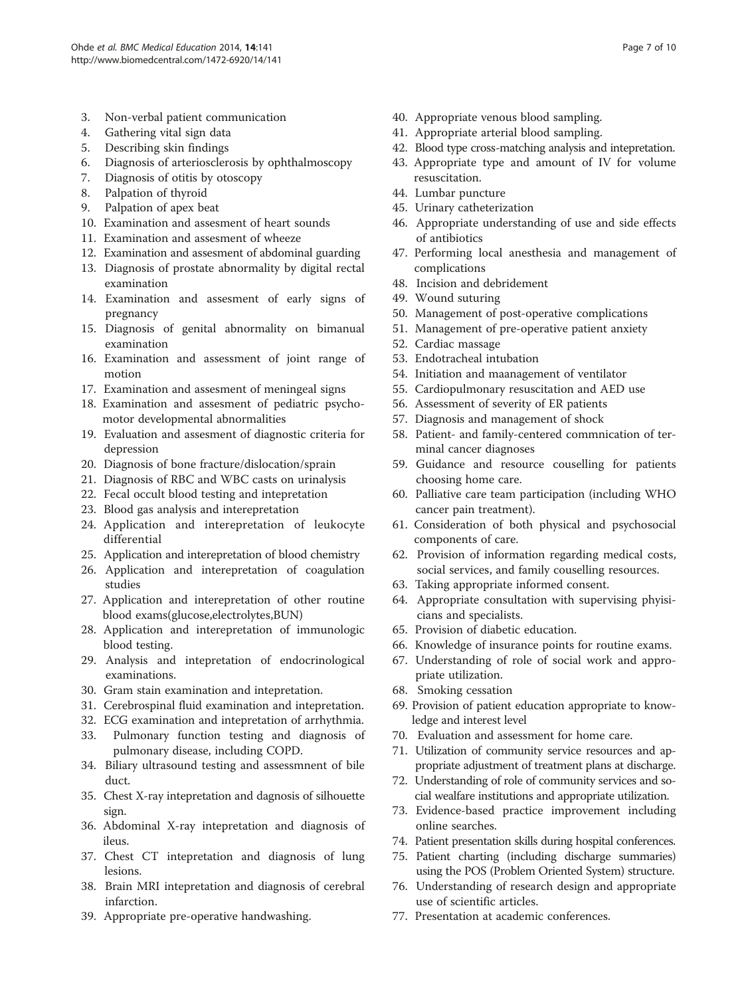- 3. Non-verbal patient communication
- 4. Gathering vital sign data
- 5. Describing skin findings
- 6. Diagnosis of arteriosclerosis by ophthalmoscopy
- 7. Diagnosis of otitis by otoscopy
- 8. Palpation of thyroid
- 9. Palpation of apex beat
- 10. Examination and assesment of heart sounds
- 11. Examination and assesment of wheeze
- 12. Examination and assesment of abdominal guarding
- 13. Diagnosis of prostate abnormality by digital rectal examination
- 14. Examination and assesment of early signs of pregnancy
- 15. Diagnosis of genital abnormality on bimanual examination
- 16. Examination and assessment of joint range of motion
- 17. Examination and assesment of meningeal signs
- 18. Examination and assesment of pediatric psychomotor developmental abnormalities
- 19. Evaluation and assesment of diagnostic criteria for depression
- 20. Diagnosis of bone fracture/dislocation/sprain
- 21. Diagnosis of RBC and WBC casts on urinalysis
- 22. Fecal occult blood testing and intepretation
- 23. Blood gas analysis and interepretation
- 24. Application and interepretation of leukocyte differential
- 25. Application and interepretation of blood chemistry
- 26. Application and interepretation of coagulation studies
- 27. Application and interepretation of other routine blood exams(glucose,electrolytes,BUN)
- 28. Application and interepretation of immunologic blood testing.
- 29. Analysis and intepretation of endocrinological examinations.
- 30. Gram stain examination and intepretation.
- 31. Cerebrospinal fluid examination and intepretation.
- 32. ECG examination and intepretation of arrhythmia.
- 33. Pulmonary function testing and diagnosis of pulmonary disease, including COPD.
- 34. Biliary ultrasound testing and assessmnent of bile duct.
- 35. Chest X-ray intepretation and dagnosis of silhouette sign.
- 36. Abdominal X-ray intepretation and diagnosis of ileus.
- 37. Chest CT intepretation and diagnosis of lung lesions.
- 38. Brain MRI intepretation and diagnosis of cerebral infarction.
- 39. Appropriate pre-operative handwashing.
- 40. Appropriate venous blood sampling.
- 41. Appropriate arterial blood sampling.
- 42. Blood type cross-matching analysis and intepretation.
- 43. Appropriate type and amount of IV for volume resuscitation.
- 44. Lumbar puncture
- 45. Urinary catheterization
- 46. Appropriate understanding of use and side effects of antibiotics
- 47. Performing local anesthesia and management of complications
- 48. Incision and debridement
- 49. Wound suturing
- 50. Management of post-operative complications
- 51. Management of pre-operative patient anxiety
- 52. Cardiac massage
- 53. Endotracheal intubation
- 54. Initiation and maanagement of ventilator
- 55. Cardiopulmonary resuscitation and AED use
- 56. Assessment of severity of ER patients
- 57. Diagnosis and management of shock
- 58. Patient- and family-centered commnication of terminal cancer diagnoses
- 59. Guidance and resource couselling for patients choosing home care.
- 60. Palliative care team participation (including WHO cancer pain treatment).
- 61. Consideration of both physical and psychosocial components of care.
- 62. Provision of information regarding medical costs, social services, and family couselling resources.
- 63. Taking appropriate informed consent.
- 64. Appropriate consultation with supervising phyisicians and specialists.
- 65. Provision of diabetic education.
- 66. Knowledge of insurance points for routine exams.
- 67. Understanding of role of social work and appropriate utilization.
- 68. Smoking cessation
- 69. Provision of patient education appropriate to knowledge and interest level
- 70. Evaluation and assessment for home care.
- 71. Utilization of community service resources and appropriate adjustment of treatment plans at discharge.
- 72. Understanding of role of community services and social wealfare institutions and appropriate utilization.
- 73. Evidence-based practice improvement including online searches.
- 74. Patient presentation skills during hospital conferences.
- 75. Patient charting (including discharge summaries) using the POS (Problem Oriented System) structure.
- 76. Understanding of research design and appropriate use of scientific articles.
- 77. Presentation at academic conferences.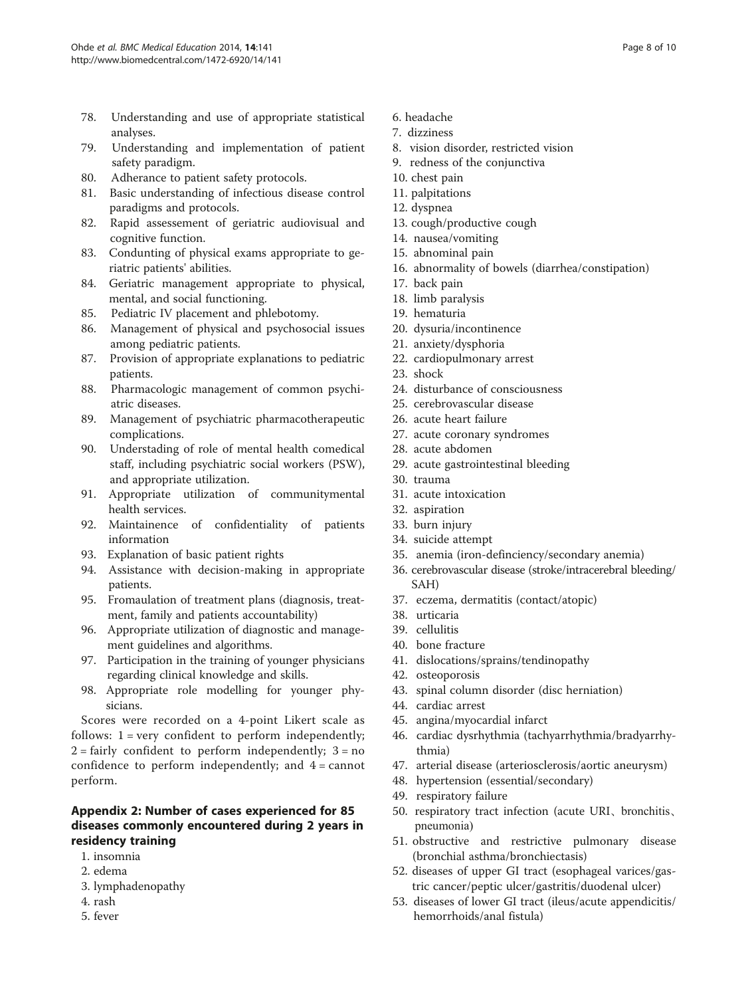- <span id="page-7-0"></span>78. Understanding and use of appropriate statistical analyses.
- 79. Understanding and implementation of patient safety paradigm.
- 80. Adherance to patient safety protocols.
- 81. Basic understanding of infectious disease control paradigms and protocols.
- 82. Rapid assessement of geriatric audiovisual and cognitive function.
- 83. Condunting of physical exams appropriate to geriatric patients' abilities.
- 84. Geriatric management appropriate to physical, mental, and social functioning.
- 85. Pediatric IV placement and phlebotomy.
- 86. Management of physical and psychosocial issues among pediatric patients.
- 87. Provision of appropriate explanations to pediatric patients.
- 88. Pharmacologic management of common psychiatric diseases.
- 89. Management of psychiatric pharmacotherapeutic complications.
- 90. Understading of role of mental health comedical staff, including psychiatric social workers (PSW), and appropriate utilization.
- 91. Appropriate utilization of communitymental health services.
- 92. Maintainence of confidentiality of patients information
- 93. Explanation of basic patient rights
- 94. Assistance with decision-making in appropriate patients.
- 95. Fromaulation of treatment plans (diagnosis, treatment, family and patients accountability)
- 96. Appropriate utilization of diagnostic and management guidelines and algorithms.
- 97. Participation in the training of younger physicians regarding clinical knowledge and skills.
- 98. Appropriate role modelling for younger physicians.

Scores were recorded on a 4-point Likert scale as follows: 1 = very confident to perform independently;  $2 =$  fairly confident to perform independently;  $3 =$  no confidence to perform independently; and  $4 =$  cannot perform.

## Appendix 2: Number of cases experienced for 85 diseases commonly encountered during 2 years in residency training

- 1. insomnia
- 2. edema
- 3. lymphadenopathy
- 4. rash
- 5. fever
- 6. headache
- 7. dizziness
- 8. vision disorder, restricted vision
- 9. redness of the conjunctiva
- 10. chest pain
- 11. palpitations
- 12. dyspnea
- 13. cough/productive cough
- 14. nausea/vomiting
- 15. abnominal pain
- 16. abnormality of bowels (diarrhea/constipation)
- 17. back pain
- 18. limb paralysis
- 19. hematuria
- 20. dysuria/incontinence
- 21. anxiety/dysphoria
- 22. cardiopulmonary arrest
- 23. shock
- 24. disturbance of consciousness
- 25. cerebrovascular disease
- 26. acute heart failure
- 27. acute coronary syndromes
- 28. acute abdomen
- 29. acute gastrointestinal bleeding
- 30. trauma
- 31. acute intoxication
- 32. aspiration
- 33. burn injury
- 34. suicide attempt
- 35. anemia (iron-definciency/secondary anemia)
- 36. cerebrovascular disease (stroke/intracerebral bleeding/ SAH)
- 37. eczema, dermatitis (contact/atopic)
- 38. urticaria
- 39. cellulitis
- 40. bone fracture
- 41. dislocations/sprains/tendinopathy
- 42. osteoporosis
- 43. spinal column disorder (disc herniation)
- 44. cardiac arrest
- 45. angina/myocardial infarct
- 46. cardiac dysrhythmia (tachyarrhythmia/bradyarrhythmia)
- 47. arterial disease (arteriosclerosis/aortic aneurysm)
- 48. hypertension (essential/secondary)
- 49. respiratory failure
- 50. respiratory tract infection (acute URI、 bronchitis、 pneumonia)
- 51. obstructive and restrictive pulmonary disease (bronchial asthma/bronchiectasis)
- 52. diseases of upper GI tract (esophageal varices/gastric cancer/peptic ulcer/gastritis/duodenal ulcer)
- 53. diseases of lower GI tract (ileus/acute appendicitis/ hemorrhoids/anal fistula)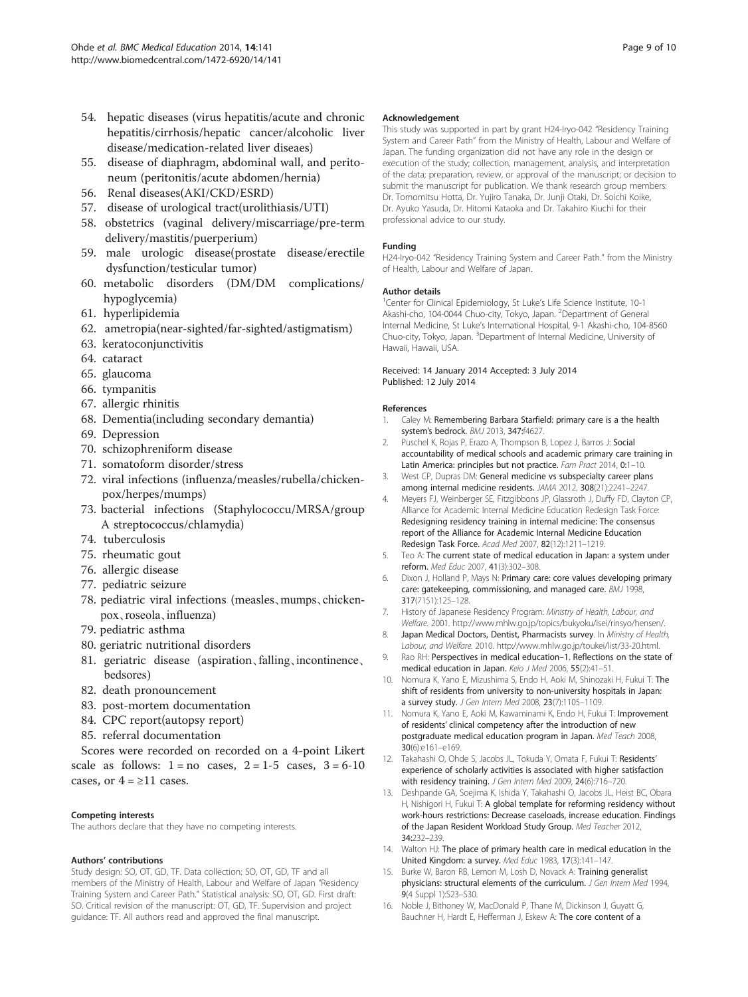- <span id="page-8-0"></span>54. hepatic diseases (virus hepatitis/acute and chronic hepatitis/cirrhosis/hepatic cancer/alcoholic liver disease/medication-related liver diseaes)
- 55. disease of diaphragm, abdominal wall, and peritoneum (peritonitis/acute abdomen/hernia)
- 56. Renal diseases(AKI/CKD/ESRD)
- 57. disease of urological tract(urolithiasis/UTI)
- 58. obstetrics (vaginal delivery/miscarriage/pre-term delivery/mastitis/puerperium)
- 59. male urologic disease(prostate disease/erectile dysfunction/testicular tumor)
- 60. metabolic disorders (DM/DM complications/ hypoglycemia)
- 61. hyperlipidemia
- 62. ametropia(near-sighted/far-sighted/astigmatism)
- 63. keratoconjunctivitis
- 64. cataract
- 65. glaucoma
- 66. tympanitis
- 67. allergic rhinitis
- 68. Dementia(including secondary demantia)
- 69. Depression
- 70. schizophreniform disease
- 71. somatoform disorder/stress
- 72. viral infections (influenza/measles/rubella/chickenpox/herpes/mumps)
- 73. bacterial infections (Staphylococcu/MRSA/group A streptococcus/chlamydia)
- 74. tuberculosis
- 75. rheumatic gout
- 76. allergic disease
- 77. pediatric seizure
- 78. pediatric viral infections (measles、mumps、chickenpox、roseola、influenza)
- 79. pediatric asthma
- 80. geriatric nutritional disorders
- 81. geriatric disease (aspiration、falling、incontinence、 bedsores)
- 82. death pronouncement
- 83. post-mortem documentation
- 84. CPC report(autopsy report)
- 85. referral documentation
- Scores were recorded on recorded on a 4-point Likert

scale as follows:  $1 = no \text{ cases}, 2 = 1-5 \text{ cases}, 3 = 6-10$ cases, or  $4 = \ge 11$  cases.

#### Competing interests

The authors declare that they have no competing interests.

## Authors' contributions

Study design: SO, OT, GD, TF. Data collection: SO, OT, GD, TF and all members of the Ministry of Health, Labour and Welfare of Japan "Residency Training System and Career Path." Statistical analysis: SO, OT, GD. First draft: SO. Critical revision of the manuscript: OT, GD, TF. Supervision and project guidance: TF. All authors read and approved the final manuscript.

#### Acknowledgement

This study was supported in part by grant H24-Iryo-042 "Residency Training System and Career Path" from the Ministry of Health, Labour and Welfare of Japan. The funding organization did not have any role in the design or execution of the study; collection, management, analysis, and interpretation of the data; preparation, review, or approval of the manuscript; or decision to submit the manuscript for publication. We thank research group members: Dr. Tomomitsu Hotta, Dr. Yujiro Tanaka, Dr. Junji Otaki, Dr. Soichi Koike, Dr. Ayuko Yasuda, Dr. Hitomi Kataoka and Dr. Takahiro Kiuchi for their professional advice to our study.

#### Funding

H24-Iryo-042 "Residency Training System and Career Path." from the Ministry of Health, Labour and Welfare of Japan.

#### Author details

<sup>1</sup> Center for Clinical Epidemiology, St Luke's Life Science Institute, 10-1 Akashi-cho, 104-0044 Chuo-city, Tokyo, Japan. <sup>2</sup>Department of General Internal Medicine, St Luke's International Hospital, 9-1 Akashi-cho, 104-8560 Chuo-city, Tokyo, Japan. <sup>3</sup>Department of Internal Medicine, University of Hawaii, Hawaii, USA.

#### Received: 14 January 2014 Accepted: 3 July 2014 Published: 12 July 2014

#### References

- 1. Caley M: Remembering Barbara Starfield: primary care is a the health system's bedrock. BMJ 2013, 347:f4627.
- 2. Puschel K, Rojas P, Erazo A, Thompson B, Lopez J, Barros J: Social accountability of medical schools and academic primary care training in Latin America: principles but not practice. Fam Pract 2014, 0:1-10.
- 3. West CP, Dupras DM: General medicine vs subspecialty career plans among internal medicine residents. JAMA 2012, 308(21):2241–2247.
- 4. Meyers FJ, Weinberger SE, Fitzgibbons JP, Glassroth J, Duffy FD, Clayton CP, Alliance for Academic Internal Medicine Education Redesign Task Force: Redesigning residency training in internal medicine: The consensus report of the Alliance for Academic Internal Medicine Education Redesign Task Force. Acad Med 2007, 82(12):1211–1219.
- 5. Teo A: The current state of medical education in Japan: a system under reform. Med Educ 2007, 41(3):302–308.
- 6. Dixon J, Holland P, Mays N: Primary care: core values developing primary care: gatekeeping, commissioning, and managed care. BMJ 1998, 317(7151):125–128.
- 7. History of Japanese Residency Program: Ministry of Health, Labour, and Welfare. 2001. [http://www.mhlw.go.jp/topics/bukyoku/isei/rinsyo/hensen/.](http://www.mhlw.go.jp/topics/bukyoku/isei/rinsyo/hensen/)
- 8. Japan Medical Doctors, Dentist, Pharmacists survey. In Ministry of Health, Labour, and Welfare. 2010. [http://www.mhlw.go.jp/toukei/list/33-20.html.](http://www.mhlw.go.jp/toukei/list/33-20.html)
- 9. Rao RH: Perspectives in medical education-1. Reflections on the state of medical education in Japan. Keio J Med 2006, 55(2):41–51.
- 10. Nomura K, Yano E, Mizushima S, Endo H, Aoki M, Shinozaki H, Fukui T: The shift of residents from university to non-university hospitals in Japan: a survey study. J Gen Intern Med 2008, 23(7):1105–1109.
- 11. Nomura K, Yano E, Aoki M, Kawaminami K, Endo H, Fukui T: Improvement of residents' clinical competency after the introduction of new postgraduate medical education program in Japan. Med Teach 2008, 30(6):e161–e169.
- 12. Takahashi O, Ohde S, Jacobs JL, Tokuda Y, Omata F, Fukui T: Residents' experience of scholarly activities is associated with higher satisfaction with residency training. J Gen Intern Med 2009, 24(6):716–720.
- 13. Deshpande GA, Soejima K, Ishida Y, Takahashi O, Jacobs JL, Heist BC, Obara H, Nishigori H, Fukui T: A global template for reforming residency without work-hours restrictions: Decrease caseloads, increase education. Findings of the Japan Resident Workload Study Group. Med Teacher 2012, 34:232–239.
- 14. Walton HJ: The place of primary health care in medical education in the United Kingdom: a survey. Med Educ 1983, 17(3):141–147.
- 15. Burke W, Baron RB, Lemon M, Losh D, Novack A: Training generalist physicians: structural elements of the curriculum. J Gen Intern Med 1994, 9(4 Suppl 1):S23–S30.
- 16. Noble J, Bithoney W, MacDonald P, Thane M, Dickinson J, Guyatt G, Bauchner H, Hardt E, Hefferman J, Eskew A: The core content of a